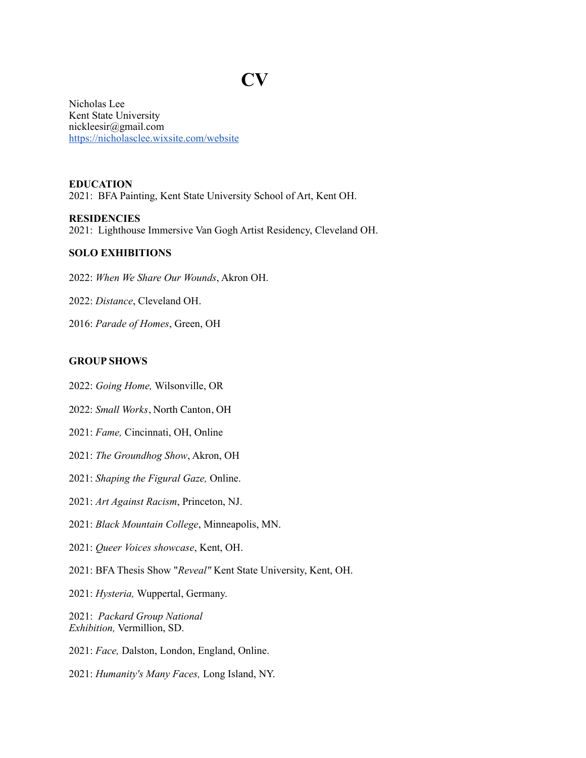# **CV**

Nicholas Lee Kent State University nickleesir@gmail.com <https://nicholasclee.wixsite.com/website>

**EDUCATION** 2021: BFA Painting, Kent State University School of Art, Kent OH.

#### **RESIDENCIES**

2021: Lighthouse Immersive Van Gogh Artist Residency, Cleveland OH.

## **SOLO EXHIBITIONS**

2022: *When We Share Our Wounds*, Akron OH.

- 2022: *Distance*, Cleveland OH.
- 2016: *Parade of Homes*, Green, OH

#### **GROUP SHOWS**

2022: *Going Home,* Wilsonville, OR

- 2022: *Small Works*, North Canton, OH
- 2021: *Fame,* Cincinnati, OH, Online
- 2021: *The Groundhog Show*, Akron, OH
- 2021: *Shaping the Figural Gaze,* Online.
- 2021: *Art Against Racism*, Princeton, NJ.
- 2021: *Black Mountain College*, Minneapolis, MN.
- 2021: *Queer Voices showcase*, Kent, OH.
- 2021: BFA Thesis Show "*Reveal"* Kent State University, Kent, OH.
- 2021: *Hysteria,* Wuppertal, Germany.

2021: *Packard Group National Exhibition,* Vermillion, SD.

- 2021: *Face,* Dalston, London, England, Online.
- 2021: *Humanity's Many Faces,* Long Island, NY.